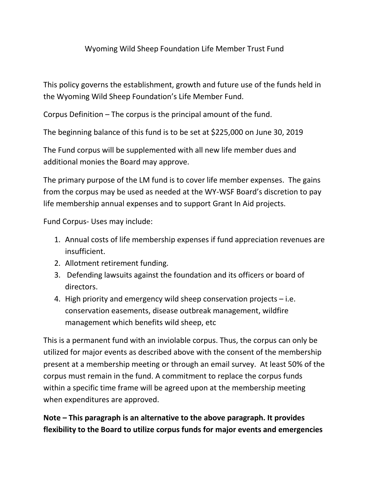## Wyoming Wild Sheep Foundation Life Member Trust Fund

This policy governs the establishment, growth and future use of the funds held in the Wyoming Wild Sheep Foundation's Life Member Fund.

Corpus Definition – The corpus is the principal amount of the fund.

The beginning balance of this fund is to be set at \$225,000 on June 30, 2019

The Fund corpus will be supplemented with all new life member dues and additional monies the Board may approve.

The primary purpose of the LM fund is to cover life member expenses. The gains from the corpus may be used as needed at the WY-WSF Board's discretion to pay life membership annual expenses and to support Grant In Aid projects.

Fund Corpus- Uses may include:

- 1. Annual costs of life membership expenses if fund appreciation revenues are insufficient.
- 2. Allotment retirement funding.
- 3. Defending lawsuits against the foundation and its officers or board of directors.
- 4. High priority and emergency wild sheep conservation projects i.e. conservation easements, disease outbreak management, wildfire management which benefits wild sheep, etc

This is a permanent fund with an inviolable corpus. Thus, the corpus can only be utilized for major events as described above with the consent of the membership present at a membership meeting or through an email survey. At least 50% of the corpus must remain in the fund. A commitment to replace the corpus funds within a specific time frame will be agreed upon at the membership meeting when expenditures are approved.

**Note – This paragraph is an alternative to the above paragraph. It provides flexibility to the Board to utilize corpus funds for major events and emergencies**